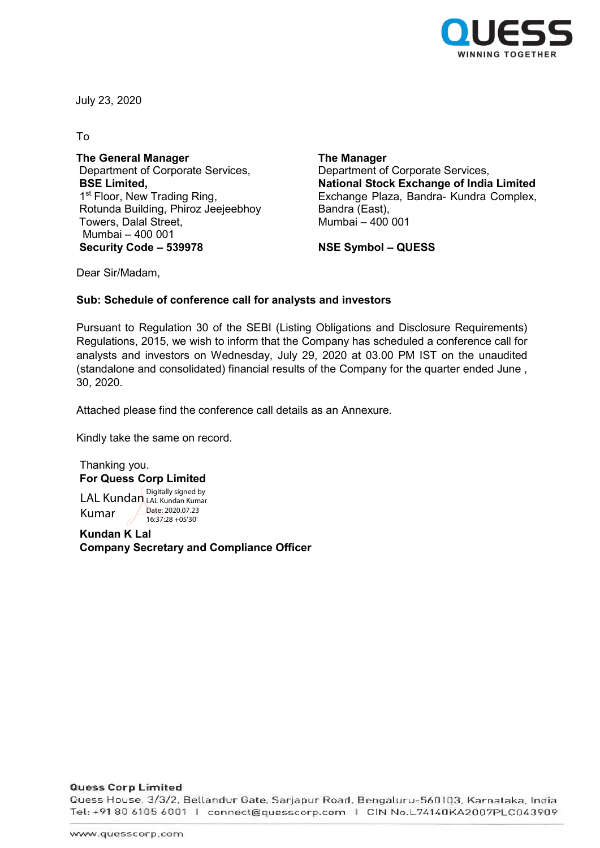

July 23, 2020

To

The General Manager Department of Corporate Services, BSE Limited, 1<sup>st</sup> Floor, New Trading Ring, Rotunda Building, Phiroz Jeejeebhoy Towers, Dalal Street, Mumbai – 400 001 Security Code – 539978 NSE Symbol – QUESS

The Manager Department of Corporate Services, National Stock Exchange of India Limited Exchange Plaza, Bandra- Kundra Complex, Bandra (East), Mumbai – 400 001

Dear Sir/Madam,

## Sub: Schedule of conference call for analysts and investors

Pursuant to Regulation 30 of the SEBI (Listing Obligations and Disclosure Requirements) Regulations, 2015, we wish to inform that the Company has scheduled a conference call for analysts and investors on Wednesday, July 29, 2020 at 03.00 PM IST on the unaudited (standalone and consolidated) financial results of the Company for the quarter ended June , 30, 2020.

Attached please find the conference call details as an Annexure.

Kindly take the same on record.

Thanking you. For Quess Corp Limited LAL Kundan Digitally signed by Kumar LAL Kundan Kumar Date: 2020.07.23

Kundan K Lal Company Secretary and Compliance Officer

16:37:28 +05'30'

**Quess Corp Limited** 

Quess House, 3/3/2, Bellandur Gate, Sarjapur Road, Bengaluru-560103, Karnataka, India Tel: +91 80 6105 6001 | connect@guesscorp.com | CIN No.L74140KA2007PLC043909